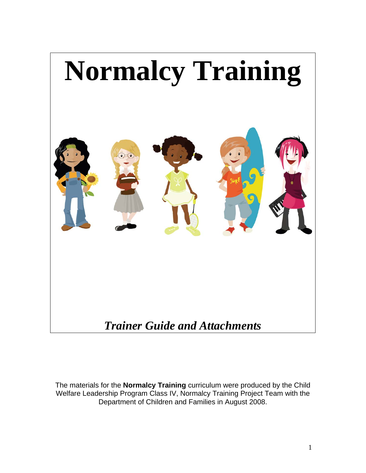

The materials for the **Normalcy Training** curriculum were produced by the Child Welfare Leadership Program Class IV, Normalcy Training Project Team with the Department of Children and Families in August 2008.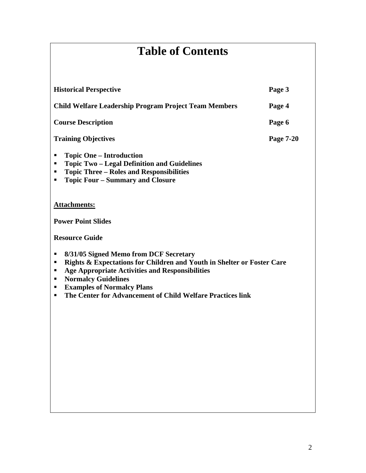# **Table of Contents**

| <b>Historical Perspective</b>                                                                                                                                                                                                                                                                                                             | Page 3    |
|-------------------------------------------------------------------------------------------------------------------------------------------------------------------------------------------------------------------------------------------------------------------------------------------------------------------------------------------|-----------|
| <b>Child Welfare Leadership Program Project Team Members</b>                                                                                                                                                                                                                                                                              | Page 4    |
| <b>Course Description</b>                                                                                                                                                                                                                                                                                                                 | Page 6    |
| <b>Training Objectives</b>                                                                                                                                                                                                                                                                                                                | Page 7-20 |
| <b>Topic One – Introduction</b><br>п<br><b>Topic Two - Legal Definition and Guidelines</b><br>п<br><b>Topic Three - Roles and Responsibilities</b><br>п<br><b>Topic Four – Summary and Closure</b><br>٠                                                                                                                                   |           |
| <b>Attachments:</b>                                                                                                                                                                                                                                                                                                                       |           |
| <b>Power Point Slides</b>                                                                                                                                                                                                                                                                                                                 |           |
| <b>Resource Guide</b>                                                                                                                                                                                                                                                                                                                     |           |
| 8/31/05 Signed Memo from DCF Secretary<br>٠<br>Rights & Expectations for Children and Youth in Shelter or Foster Care<br>٠<br><b>Age Appropriate Activities and Responsibilities</b><br>п<br><b>Normalcy Guidelines</b><br>п<br><b>Examples of Normalcy Plans</b><br>٠<br>The Center for Advancement of Child Welfare Practices link<br>■ |           |
|                                                                                                                                                                                                                                                                                                                                           |           |
|                                                                                                                                                                                                                                                                                                                                           |           |
|                                                                                                                                                                                                                                                                                                                                           |           |
|                                                                                                                                                                                                                                                                                                                                           |           |
|                                                                                                                                                                                                                                                                                                                                           |           |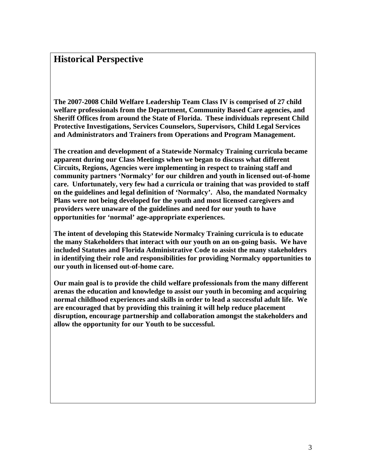### **Historical Perspective**

**The 2007-2008 Child Welfare Leadership Team Class IV is comprised of 27 child welfare professionals from the Department, Community Based Care agencies, and Sheriff Offices from around the State of Florida. These individuals represent Child Protective Investigations, Services Counselors, Supervisors, Child Legal Services and Administrators and Trainers from Operations and Program Management.** 

**The creation and development of a Statewide Normalcy Training curricula became apparent during our Class Meetings when we began to discuss what different Circuits, Regions, Agencies were implementing in respect to training staff and community partners 'Normalcy' for our children and youth in licensed out-of-home care. Unfortunately, very few had a curricula or training that was provided to staff on the guidelines and legal definition of 'Normalcy'. Also, the mandated Normalcy Plans were not being developed for the youth and most licensed caregivers and providers were unaware of the guidelines and need for our youth to have opportunities for 'normal' age-appropriate experiences.** 

**The intent of developing this Statewide Normalcy Training curricula is to educate the many Stakeholders that interact with our youth on an on-going basis. We have included Statutes and Florida Administrative Code to assist the many stakeholders in identifying their role and responsibilities for providing Normalcy opportunities to our youth in licensed out-of-home care.** 

**Our main goal is to provide the child welfare professionals from the many different arenas the education and knowledge to assist our youth in becoming and acquiring normal childhood experiences and skills in order to lead a successful adult life. We are encouraged that by providing this training it will help reduce placement disruption, encourage partnership and collaboration amongst the stakeholders and allow the opportunity for our Youth to be successful.**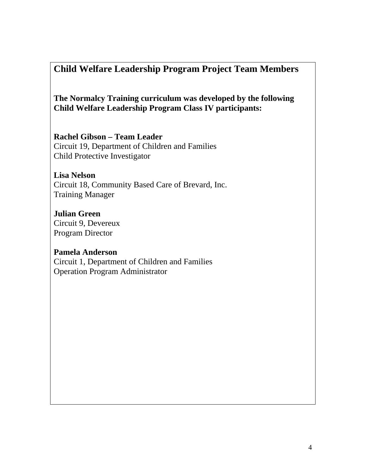### **Child Welfare Leadership Program Project Team Members**

**The Normalcy Training curriculum was developed by the following Child Welfare Leadership Program Class IV participants:** 

**Rachel Gibson – Team Leader**  Circuit 19, Department of Children and Families Child Protective Investigator

**Lisa Nelson**  Circuit 18, Community Based Care of Brevard, Inc. Training Manager

**Julian Green**  Circuit 9, Devereux Program Director

**Pamela Anderson**  Circuit 1, Department of Children and Families Operation Program Administrator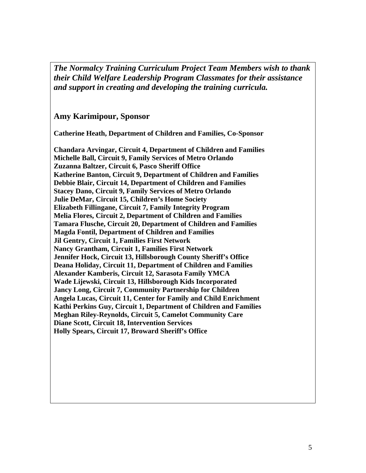*The Normalcy Training Curriculum Project Team Members wish to thank their Child Welfare Leadership Program Classmates for their assistance and support in creating and developing the training curricula.* 

**Amy Karimipour, Sponsor** 

**Catherine Heath, Department of Children and Families, Co-Sponsor** 

**Chandara Arvingar, Circuit 4, Department of Children and Families Michelle Ball, Circuit 9, Family Services of Metro Orlando Zuzanna Baltzer, Circuit 6, Pasco Sheriff Office Katherine Banton, Circuit 9, Department of Children and Families Debbie Blair, Circuit 14, Department of Children and Families Stacey Dano, Circuit 9, Family Services of Metro Orlando Julie DeMar, Circuit 15, Children's Home Society Elizabeth Fillingane, Circuit 7, Family Integrity Program Melia Flores, Circuit 2, Department of Children and Families Tamara Flusche, Circuit 20, Department of Children and Families Magda Fontil, Department of Children and Families Jil Gentry, Circuit 1, Families First Network Nancy Grantham, Circuit 1, Families First Network Jennifer Hock, Circuit 13, Hillsborough County Sheriff's Office Deana Holiday, Circuit 11, Department of Children and Families Alexander Kamberis, Circuit 12, Sarasota Family YMCA Wade Lijewski, Circuit 13, Hillsborough Kids Incorporated Jancy Long, Circuit 7, Community Partnership for Children Angela Lucas, Circuit 11, Center for Family and Child Enrichment Kathi Perkins Guy, Circuit 1, Department of Children and Families Meghan Riley-Reynolds, Circuit 5, Camelot Community Care Diane Scott, Circuit 18, Intervention Services Holly Spears, Circuit 17, Broward Sheriff's Office**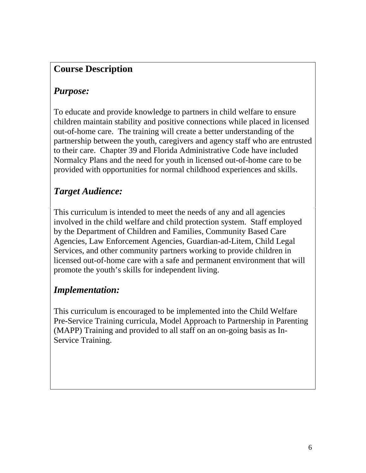### **Course Description**

### *Purpose:*

To educate and provide knowledge to partners in child welfare to ensure children maintain stability and positive connections while placed in licensed out-of-home care. The training will create a better understanding of the partnership between the youth, caregivers and agency staff who are entrusted to their care. Chapter 39 and Florida Administrative Code have included Normalcy Plans and the need for youth in licensed out-of-home care to be provided with opportunities for normal childhood experiences and skills.

### *Target Audience:*

This curriculum is intended to meet the needs of any and all agencies involved in the child welfare and child protection system. Staff employed by the Department of Children and Families, Community Based Care Agencies, Law Enforcement Agencies, Guardian-ad-Litem, Child Legal Services, and other community partners working to provide children in licensed out-of-home care with a safe and permanent environment that will promote the youth's skills for independent living.

### *Implementation:*

This curriculum is encouraged to be implemented into the Child Welfare Pre-Service Training curricula, Model Approach to Partnership in Parenting (MAPP) Training and provided to all staff on an on-going basis as In-Service Training.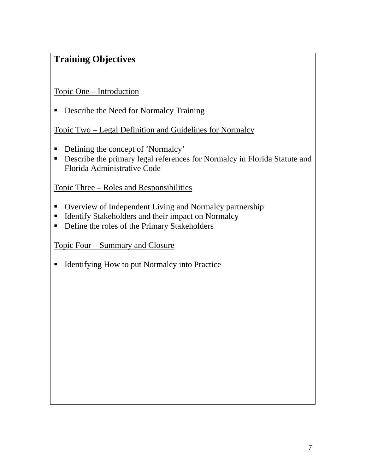### **Training Objectives**

Topic One – Introduction

**•** Describe the Need for Normalcy Training

Topic Two – Legal Definition and Guidelines for Normalcy

- Defining the concept of 'Normalcy'
- Describe the primary legal references for Normalcy in Florida Statute and Florida Administrative Code

Topic Three – Roles and Responsibilities

- Overview of Independent Living and Normalcy partnership
- Identify Stakeholders and their impact on Normalcy
- Define the roles of the Primary Stakeholders

Topic Four – Summary and Closure

■ Identifying How to put Normalcy into Practice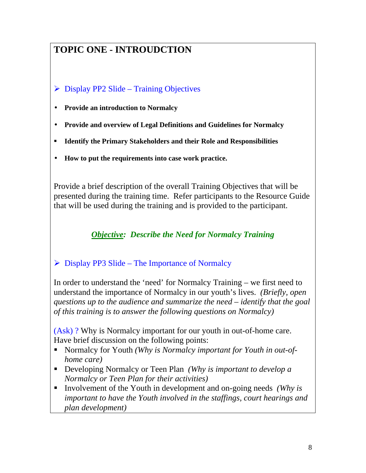## **TOPIC ONE - INTROUDCTION**

### $\triangleright$  Display PP2 Slide – Training Objectives

- **Provide an introduction to Normalcy**
- **Provide and overview of Legal Definitions and Guidelines for Normalcy**
- **Identify the Primary Stakeholders and their Role and Responsibilities**
- **How to put the requirements into case work practice.**

Provide a brief description of the overall Training Objectives that will be presented during the training time. Refer participants to the Resource Guide that will be used during the training and is provided to the participant.

*Objective: Describe the Need for Normalcy Training* 

### $\triangleright$  Display PP3 Slide – The Importance of Normalcy

In order to understand the 'need' for Normalcy Training – we first need to understand the importance of Normalcy in our youth's lives. *(Briefly, open questions up to the audience and summarize the need – identify that the goal of this training is to answer the following questions on Normalcy)* 

(Ask) ? Why is Normalcy important for our youth in out-of-home care. Have brief discussion on the following points:

- Normalcy for Youth *(Why is Normalcy important for Youth in out-ofhome care)*
- Developing Normalcy or Teen Plan *(Why is important to develop a Normalcy or Teen Plan for their activities)*
- Involvement of the Youth in development and on-going needs *(Why is important to have the Youth involved in the staffings, court hearings and plan development)*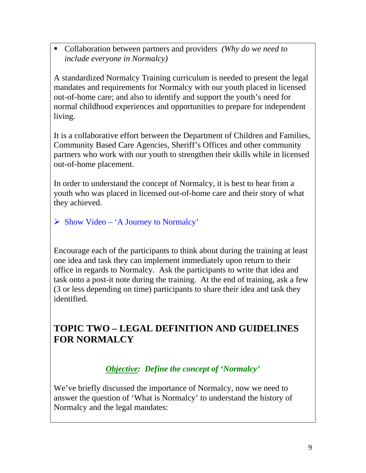Collaboration between partners and providers *(Why do we need to include everyone in Normalcy)*

A standardized Normalcy Training curriculum is needed to present the legal mandates and requirements for Normalcy with our youth placed in licensed out-of-home care; and also to identify and support the youth's need for normal childhood experiences and opportunities to prepare for independent living.

It is a collaborative effort between the Department of Children and Families, Community Based Care Agencies, Sheriff's Offices and other community partners who work with our youth to strengthen their skills while in licensed out-of-home placement.

In order to understand the concept of Normalcy, it is best to hear from a youth who was placed in licensed out-of-home care and their story of what they achieved.

 $\triangleright$  Show Video – 'A Journey to Normalcy'

Encourage each of the participants to think about during the training at least one idea and task they can implement immediately upon return to their office in regards to Normalcy. Ask the participants to write that idea and task onto a post-it note during the training. At the end of training, ask a few (3 or less depending on time) participants to share their idea and task they identified.

### **TOPIC TWO – LEGAL DEFINITION AND GUIDELINES FOR NORMALCY**

### *Objective: Define the concept of 'Normalcy'*

We've briefly discussed the importance of Normalcy, now we need to answer the question of 'What is Normalcy' to understand the history of Normalcy and the legal mandates: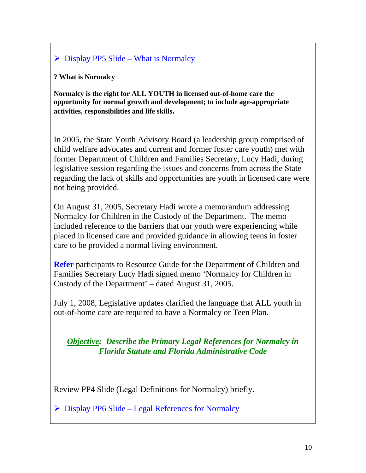### $\triangleright$  Display PP5 Slide – What is Normalcy

#### **? What is Normalcy**

**Normalcy is the right for ALL YOUTH in licensed out-of-home care the opportunity for normal growth and development; to include age-appropriate activities, responsibilities and life skills.** 

In 2005, the State Youth Advisory Board (a leadership group comprised of child welfare advocates and current and former foster care youth) met with former Department of Children and Families Secretary, Lucy Hadi, during legislative session regarding the issues and concerns from across the State regarding the lack of skills and opportunities are youth in licensed care were not being provided.

On August 31, 2005, Secretary Hadi wrote a memorandum addressing Normalcy for Children in the Custody of the Department. The memo included reference to the barriers that our youth were experiencing while placed in licensed care and provided guidance in allowing teens in foster care to be provided a normal living environment.

**Refer** participants to Resource Guide for the Department of Children and Families Secretary Lucy Hadi signed memo 'Normalcy for Children in Custody of the Department' – dated August 31, 2005.

July 1, 2008, Legislative updates clarified the language that ALL youth in out-of-home care are required to have a Normalcy or Teen Plan.

#### *Objective: Describe the Primary Legal References for Normalcy in Florida Statute and Florida Administrative Code*

Review PP4 Slide (Legal Definitions for Normalcy) briefly.

 $\triangleright$  Display PP6 Slide – Legal References for Normalcy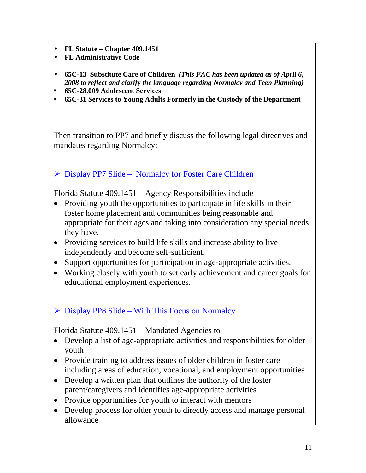- **FL Statute Chapter 409.1451**
- **FL Administrative Code**
- **65C-13 Substitute Care of Children** *(This FAC has been updated as of April 6, 2008 to reflect and clarify the language regarding Normalcy and Teen Planning)*
- **65C-28.009 Adolescent Services**
- **65C-31 Services to Young Adults Formerly in the Custody of the Department**

Then transition to PP7 and briefly discuss the following legal directives and mandates regarding Normalcy:

### ¾ Display PP7 Slide – Normalcy for Foster Care Children

Florida Statute 409.1451 – Agency Responsibilities include

- Providing youth the opportunities to participate in life skills in their foster home placement and communities being reasonable and appropriate for their ages and taking into consideration any special needs they have.
- Providing services to build life skills and increase ability to live independently and become self-sufficient.
- Support opportunities for participation in age-appropriate activities.
- Working closely with youth to set early achievement and career goals for educational employment experiences.

### $\triangleright$  Display PP8 Slide – With This Focus on Normalcy

Florida Statute 409.1451 – Mandated Agencies to

- Develop a list of age-appropriate activities and responsibilities for older youth
- Provide training to address issues of older children in foster care including areas of education, vocational, and employment opportunities
- Develop a written plan that outlines the authority of the foster parent/caregivers and identifies age-appropriate activities
- Provide opportunities for youth to interact with mentors
- Develop process for older youth to directly access and manage personal allowance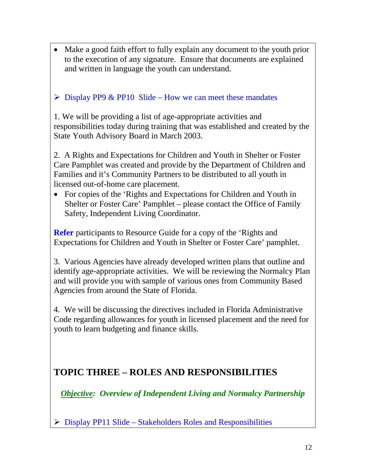• Make a good faith effort to fully explain any document to the youth prior to the execution of any signature. Ensure that documents are explained and written in language the youth can understand.

#### $\triangleright$  Display PP9 & PP10 Slide – How we can meet these mandates

1. We will be providing a list of age-appropriate activities and responsibilities today during training that was established and created by the State Youth Advisory Board in March 2003.

2. A Rights and Expectations for Children and Youth in Shelter or Foster Care Pamphlet was created and provide by the Department of Children and Families and it's Community Partners to be distributed to all youth in licensed out-of-home care placement.

• For copies of the 'Rights and Expectations for Children and Youth in Shelter or Foster Care' Pamphlet – please contact the Office of Family Safety, Independent Living Coordinator.

**Refer** participants to Resource Guide for a copy of the 'Rights and Expectations for Children and Youth in Shelter or Foster Care' pamphlet.

3. Various Agencies have already developed written plans that outline and identify age-appropriate activities. We will be reviewing the Normalcy Plan and will provide you with sample of various ones from Community Based Agencies from around the State of Florida.

4. We will be discussing the directives included in Florida Administrative Code regarding allowances for youth in licensed placement and the need for youth to learn budgeting and finance skills.

### **TOPIC THREE – ROLES AND RESPONSIBILITIES**

*Objective: Overview of Independent Living and Normalcy Partnership* 

 $\triangleright$  Display PP11 Slide – Stakeholders Roles and Responsibilities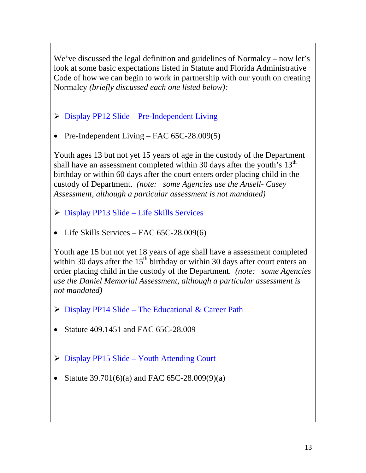We've discussed the legal definition and guidelines of Normalcy – now let's look at some basic expectations listed in Statute and Florida Administrative Code of how we can begin to work in partnership with our youth on creating Normalcy *(briefly discussed each one listed below):* 

- $\triangleright$  Display PP12 Slide Pre-Independent Living
- Pre-Independent Living FAC 65C-28.009(5)

Youth ages 13 but not yet 15 years of age in the custody of the Department shall have an assessment completed within 30 days after the youth's  $13<sup>th</sup>$ birthday or within 60 days after the court enters order placing child in the custody of Department. *(note: some Agencies use the Ansell- Casey Assessment, although a particular assessment is not mandated)*

- $\triangleright$  Display PP13 Slide Life Skills Services
- Life Skills Services FAC 65C-28.009(6)

Youth age 15 but not yet 18 years of age shall have a assessment completed within 30 days after the  $15<sup>th</sup>$  birthday or within 30 days after court enters an order placing child in the custody of the Department. *(note: some Agencies use the Daniel Memorial Assessment, although a particular assessment is not mandated)*

- $\triangleright$  Display PP14 Slide The Educational & Career Path
- Statute 409,1451 and FAC 65C-28,009
- $\triangleright$  Display PP15 Slide Youth Attending Court
- Statute 39.701(6)(a) and FAC 65C-28.009(9)(a)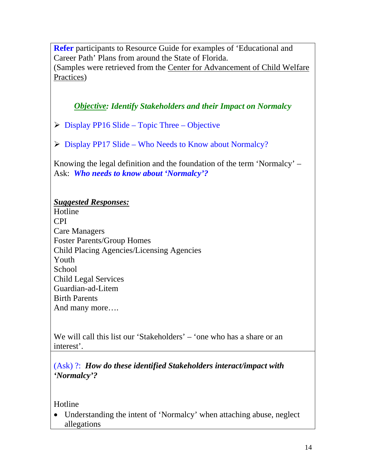**Refer** participants to Resource Guide for examples of 'Educational and Career Path' Plans from around the State of Florida. (Samples were retrieved from the Center for Advancement of Child Welfare Practices)

*Objective: Identify Stakeholders and their Impact on Normalcy* 

- $\triangleright$  Display PP16 Slide Topic Three Objective
- ¾ Display PP17 Slide Who Needs to Know about Normalcy?

Knowing the legal definition and the foundation of the term 'Normalcy' – Ask: *Who needs to know about 'Normalcy'?* 

#### *Suggested Responses:*

Hotline CPI Care Managers Foster Parents/Group Homes Child Placing Agencies/Licensing Agencies Youth School Child Legal Services Guardian-ad-Litem Birth Parents And many more….

We will call this list our 'Stakeholders' – 'one who has a share or an interest'.

(Ask) ?: *How do these identified Stakeholders interact/impact with 'Normalcy'?* 

Hotline

• Understanding the intent of 'Normalcy' when attaching abuse, neglect allegations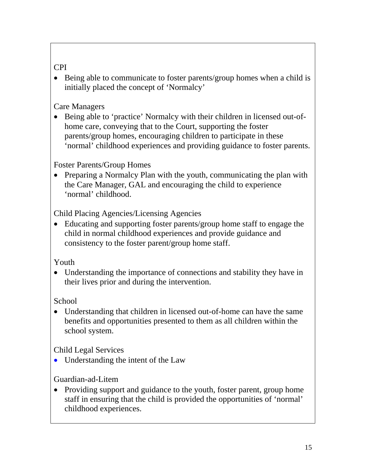### CPI

• Being able to communicate to foster parents/group homes when a child is initially placed the concept of 'Normalcy'

### Care Managers

• Being able to 'practice' Normalcy with their children in licensed out-ofhome care, conveying that to the Court, supporting the foster parents/group homes, encouraging children to participate in these 'normal' childhood experiences and providing guidance to foster parents.

#### Foster Parents/Group Homes

• Preparing a Normalcy Plan with the youth, communicating the plan with the Care Manager, GAL and encouraging the child to experience 'normal' childhood.

Child Placing Agencies/Licensing Agencies

• Educating and supporting foster parents/group home staff to engage the child in normal childhood experiences and provide guidance and consistency to the foster parent/group home staff.

#### Youth

• Understanding the importance of connections and stability they have in their lives prior and during the intervention.

### School

• Understanding that children in licensed out-of-home can have the same benefits and opportunities presented to them as all children within the school system.

Child Legal Services

• Understanding the intent of the Law

### Guardian-ad-Litem

• Providing support and guidance to the youth, foster parent, group home staff in ensuring that the child is provided the opportunities of 'normal' childhood experiences.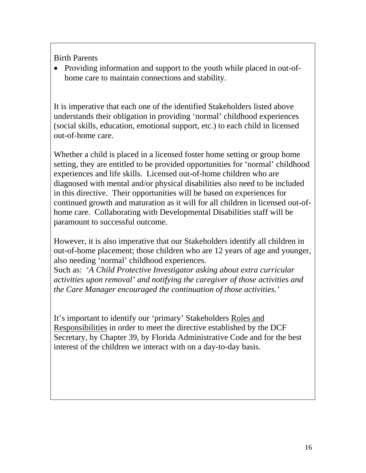Birth Parents

• Providing information and support to the youth while placed in out-ofhome care to maintain connections and stability.

It is imperative that each one of the identified Stakeholders listed above understands their obligation in providing 'normal' childhood experiences (social skills, education, emotional support, etc.) to each child in licensed out-of-home care.

Whether a child is placed in a licensed foster home setting or group home setting, they are entitled to be provided opportunities for 'normal' childhood experiences and life skills. Licensed out-of-home children who are diagnosed with mental and/or physical disabilities also need to be included in this directive. Their opportunities will be based on experiences for continued growth and maturation as it will for all children in licensed out-ofhome care. Collaborating with Developmental Disabilities staff will be paramount to successful outcome.

However, it is also imperative that our Stakeholders identify all children in out-of-home placement; those children who are 12 years of age and younger, also needing 'normal' childhood experiences.

Such as: *'A Child Protective Investigator asking about extra curricular activities upon removal' and notifying the caregiver of those activities and the Care Manager encouraged the continuation of those activities.'* 

It's important to identify our 'primary' Stakeholders Roles and Responsibilities in order to meet the directive established by the DCF Secretary, by Chapter 39, by Florida Administrative Code and for the best interest of the children we interact with on a day-to-day basis.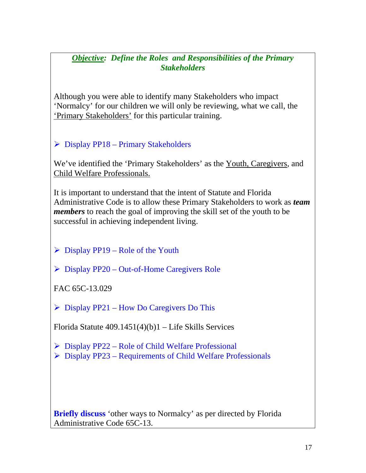#### *Objective: Define the Roles and Responsibilities of the Primary Stakeholders*

Although you were able to identify many Stakeholders who impact 'Normalcy' for our children we will only be reviewing, what we call, the 'Primary Stakeholders' for this particular training.

### $\triangleright$  Display PP18 – Primary Stakeholders

We've identified the 'Primary Stakeholders' as the Youth, Caregivers, and Child Welfare Professionals.

It is important to understand that the intent of Statute and Florida Administrative Code is to allow these Primary Stakeholders to work as *team members* to reach the goal of improving the skill set of the youth to be successful in achieving independent living.

- $\triangleright$  Display PP19 Role of the Youth
- ¾ Display PP20 Out-of-Home Caregivers Role

FAC 65C-13.029

 $\triangleright$  Display PP21 – How Do Caregivers Do This

Florida Statute  $409.1451(4)(b)1$  – Life Skills Services

- $\triangleright$  Display PP22 Role of Child Welfare Professional
- $\triangleright$  Display PP23 Requirements of Child Welfare Professionals

**Briefly discuss** 'other ways to Normalcy' as per directed by Florida Administrative Code 65C-13.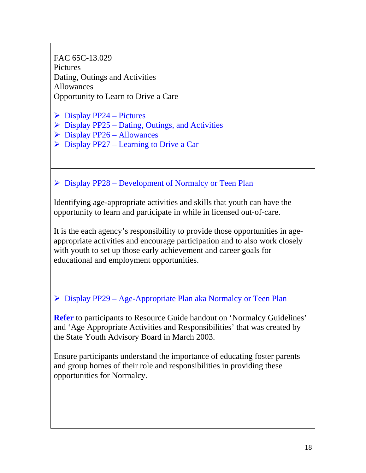FAC 65C-13.029 Pictures Dating, Outings and Activities Allowances Opportunity to Learn to Drive a Care

- $\triangleright$  Display PP24 Pictures
- $\triangleright$  Display PP25 Dating, Outings, and Activities
- $\triangleright$  Display PP26 Allowances
- $\triangleright$  Display PP27 Learning to Drive a Car

### $\triangleright$  Display PP28 – Development of Normalcy or Teen Plan

Identifying age-appropriate activities and skills that youth can have the opportunity to learn and participate in while in licensed out-of-care.

It is the each agency's responsibility to provide those opportunities in ageappropriate activities and encourage participation and to also work closely with youth to set up those early achievement and career goals for educational and employment opportunities.

### ¾ Display PP29 – Age-Appropriate Plan aka Normalcy or Teen Plan

**Refer** to participants to Resource Guide handout on 'Normalcy Guidelines' and 'Age Appropriate Activities and Responsibilities' that was created by the State Youth Advisory Board in March 2003.

Ensure participants understand the importance of educating foster parents and group homes of their role and responsibilities in providing these opportunities for Normalcy.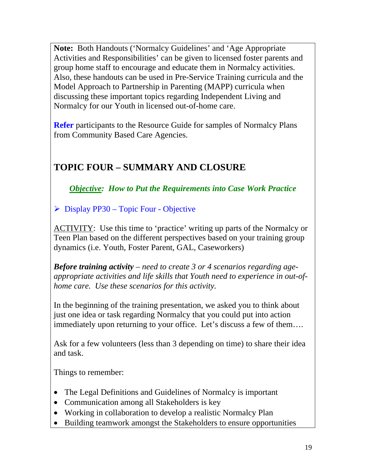**Note:** Both Handouts ('Normalcy Guidelines' and 'Age Appropriate Activities and Responsibilities' can be given to licensed foster parents and group home staff to encourage and educate them in Normalcy activities. Also, these handouts can be used in Pre-Service Training curricula and the Model Approach to Partnership in Parenting (MAPP) curricula when discussing these important topics regarding Independent Living and Normalcy for our Youth in licensed out-of-home care.

**Refer** participants to the Resource Guide for samples of Normalcy Plans from Community Based Care Agencies.

## **TOPIC FOUR – SUMMARY AND CLOSURE**

*Objective: How to Put the Requirements into Case Work Practice* 

 $\triangleright$  Display PP30 – Topic Four - Objective

ACTIVITY: Use this time to 'practice' writing up parts of the Normalcy or Teen Plan based on the different perspectives based on your training group dynamics (i.e. Youth, Foster Parent, GAL, Caseworkers)

*Before training activity – need to create 3 or 4 scenarios regarding ageappropriate activities and life skills that Youth need to experience in out-ofhome care. Use these scenarios for this activity.* 

In the beginning of the training presentation, we asked you to think about just one idea or task regarding Normalcy that you could put into action immediately upon returning to your office. Let's discuss a few of them….

Ask for a few volunteers (less than 3 depending on time) to share their idea and task.

Things to remember:

- The Legal Definitions and Guidelines of Normalcy is important
- Communication among all Stakeholders is key
- Working in collaboration to develop a realistic Normalcy Plan
- Building teamwork amongst the Stakeholders to ensure opportunities